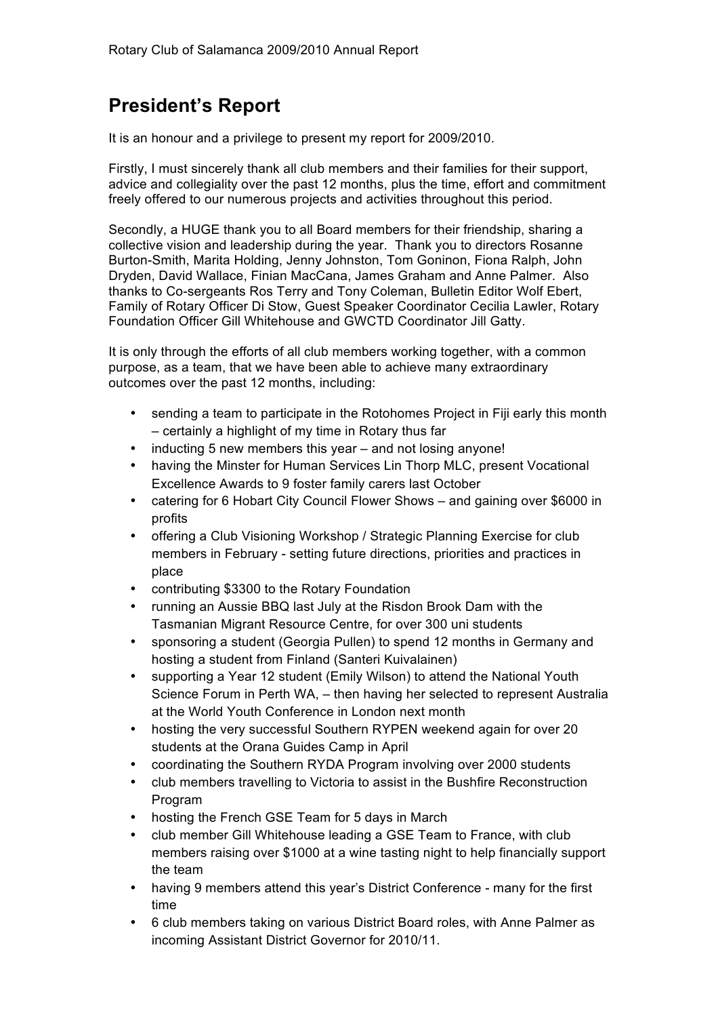# **President's Report**

It is an honour and a privilege to present my report for 2009/2010.

Firstly, I must sincerely thank all club members and their families for their support, advice and collegiality over the past 12 months, plus the time, effort and commitment freely offered to our numerous projects and activities throughout this period.

Secondly, a HUGE thank you to all Board members for their friendship, sharing a collective vision and leadership during the year. Thank you to directors Rosanne Burton-Smith, Marita Holding, Jenny Johnston, Tom Goninon, Fiona Ralph, John Dryden, David Wallace, Finian MacCana, James Graham and Anne Palmer. Also thanks to Co-sergeants Ros Terry and Tony Coleman, Bulletin Editor Wolf Ebert, Family of Rotary Officer Di Stow, Guest Speaker Coordinator Cecilia Lawler, Rotary Foundation Officer Gill Whitehouse and GWCTD Coordinator Jill Gatty.

It is only through the efforts of all club members working together, with a common purpose, as a team, that we have been able to achieve many extraordinary outcomes over the past 12 months, including:

- sending a team to participate in the Rotohomes Project in Fiji early this month – certainly a highlight of my time in Rotary thus far
- inducting 5 new members this year and not losing anyone!
- having the Minster for Human Services Lin Thorp MLC, present Vocational Excellence Awards to 9 foster family carers last October
- catering for 6 Hobart City Council Flower Shows and gaining over \$6000 in profits
- offering a Club Visioning Workshop / Strategic Planning Exercise for club members in February - setting future directions, priorities and practices in place
- contributing \$3300 to the Rotary Foundation
- running an Aussie BBQ last July at the Risdon Brook Dam with the Tasmanian Migrant Resource Centre, for over 300 uni students
- sponsoring a student (Georgia Pullen) to spend 12 months in Germany and hosting a student from Finland (Santeri Kuivalainen)
- supporting a Year 12 student (Emily Wilson) to attend the National Youth Science Forum in Perth WA, – then having her selected to represent Australia at the World Youth Conference in London next month
- hosting the very successful Southern RYPEN weekend again for over 20 students at the Orana Guides Camp in April
- coordinating the Southern RYDA Program involving over 2000 students
- club members travelling to Victoria to assist in the Bushfire Reconstruction Program
- hosting the French GSE Team for 5 days in March
- club member Gill Whitehouse leading a GSE Team to France, with club members raising over \$1000 at a wine tasting night to help financially support the team
- having 9 members attend this year's District Conference many for the first time
- 6 club members taking on various District Board roles, with Anne Palmer as incoming Assistant District Governor for 2010/11.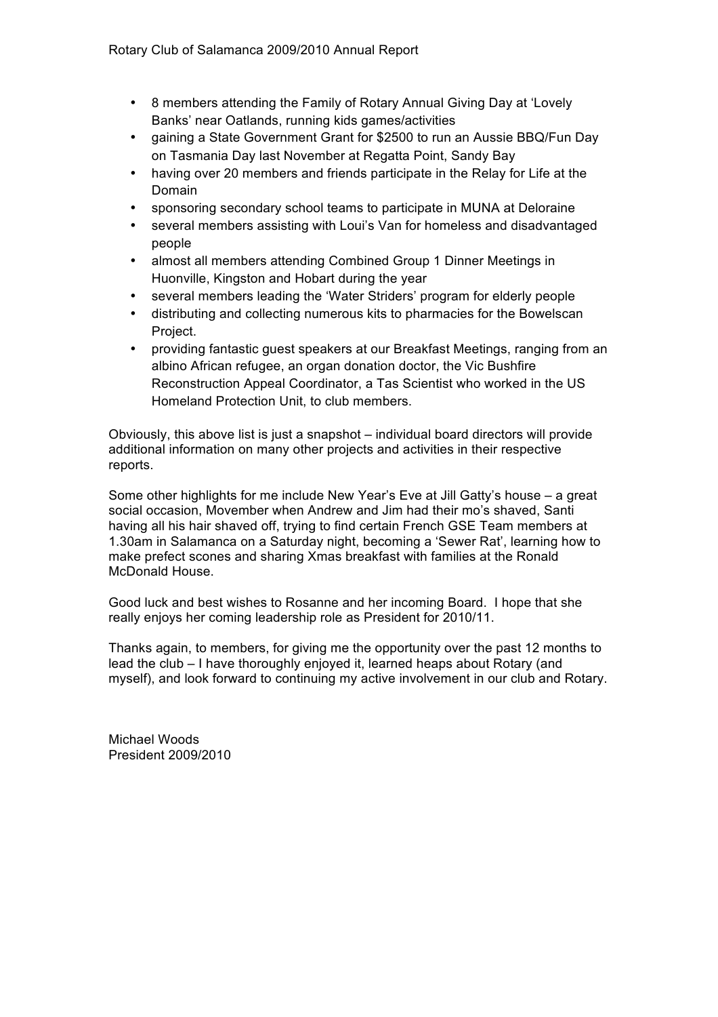- 8 members attending the Family of Rotary Annual Giving Day at 'Lovely Banks' near Oatlands, running kids games/activities
- gaining a State Government Grant for \$2500 to run an Aussie BBQ/Fun Day on Tasmania Day last November at Regatta Point, Sandy Bay
- having over 20 members and friends participate in the Relay for Life at the Domain
- sponsoring secondary school teams to participate in MUNA at Deloraine
- several members assisting with Loui's Van for homeless and disadvantaged people
- almost all members attending Combined Group 1 Dinner Meetings in Huonville, Kingston and Hobart during the year
- several members leading the 'Water Striders' program for elderly people
- distributing and collecting numerous kits to pharmacies for the Bowelscan Project.
- providing fantastic guest speakers at our Breakfast Meetings, ranging from an albino African refugee, an organ donation doctor, the Vic Bushfire Reconstruction Appeal Coordinator, a Tas Scientist who worked in the US Homeland Protection Unit, to club members.

Obviously, this above list is just a snapshot – individual board directors will provide additional information on many other projects and activities in their respective reports.

Some other highlights for me include New Year's Eve at Jill Gatty's house – a great social occasion, Movember when Andrew and Jim had their mo's shaved, Santi having all his hair shaved off, trying to find certain French GSE Team members at 1.30am in Salamanca on a Saturday night, becoming a 'Sewer Rat', learning how to make prefect scones and sharing Xmas breakfast with families at the Ronald McDonald House.

Good luck and best wishes to Rosanne and her incoming Board. I hope that she really enjoys her coming leadership role as President for 2010/11.

Thanks again, to members, for giving me the opportunity over the past 12 months to lead the club – I have thoroughly enjoyed it, learned heaps about Rotary (and myself), and look forward to continuing my active involvement in our club and Rotary.

Michael Woods President 2009/2010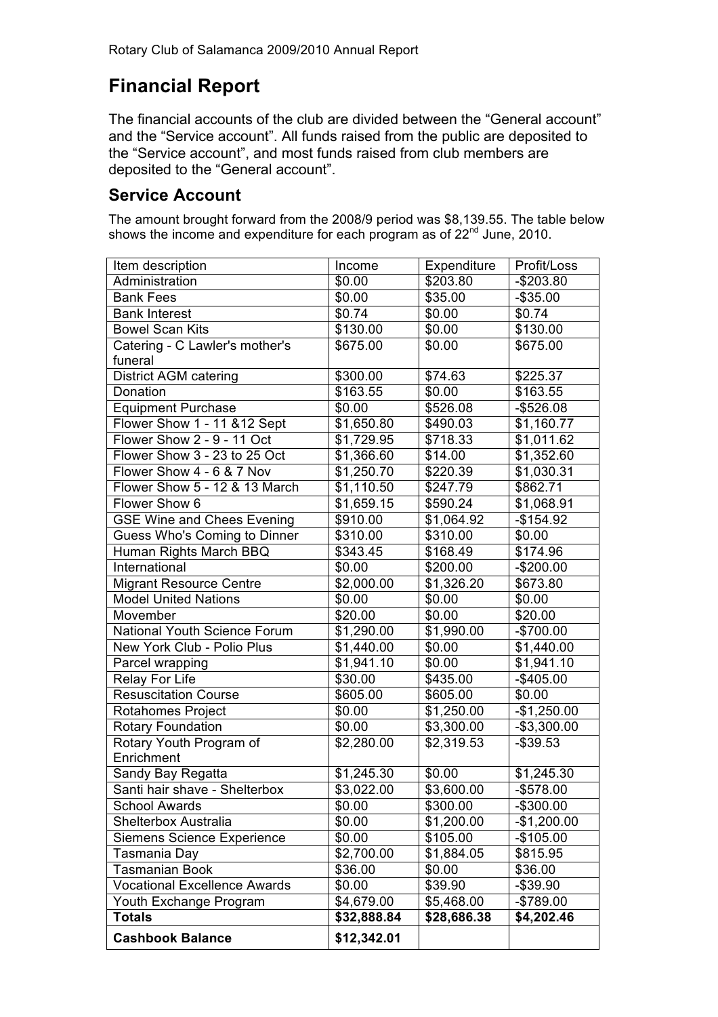# **Financial Report**

The financial accounts of the club are divided between the "General account" and the "Service account". All funds raised from the public are deposited to the "Service account", and most funds raised from club members are deposited to the "General account".

### **Service Account**

The amount brought forward from the 2008/9 period was \$8,139.55. The table below shows the income and expenditure for each program as of 22<sup>nd</sup> June, 2010.

| Item description                    | Income                 | Expenditure | Profit/Loss  |
|-------------------------------------|------------------------|-------------|--------------|
| Administration                      | \$0.00                 | \$203.80    | $-$203.80$   |
| <b>Bank Fees</b>                    | \$0.00                 | \$35.00     | $-$ \$35.00  |
| <b>Bank Interest</b>                | \$0.74                 | \$0.00      | \$0.74       |
| <b>Bowel Scan Kits</b>              | \$130.00               | \$0.00      | \$130.00     |
| Catering - C Lawler's mother's      | \$675.00               | \$0.00      | \$675.00     |
| funeral                             |                        |             |              |
| <b>District AGM catering</b>        | \$300.00               | \$74.63     | \$225.37     |
| Donation                            | \$163.55               | \$0.00      | \$163.55     |
| <b>Equipment Purchase</b>           | \$0.00                 | \$526.08    | $-$526.08$   |
| Flower Show 1 - 11 & 12 Sept        | \$1,650.80             | \$490.03    | \$1,160.77   |
| Flower Show 2 - 9 - 11 Oct          | \$1,729.95             | \$718.33    | \$1,011.62   |
| Flower Show 3 - 23 to 25 Oct        | \$1,366.60             | \$14.00     | \$1,352.60   |
| Flower Show 4 - 6 & 7 Nov           | $\overline{$}1,250.70$ | \$220.39    | \$1,030.31   |
| Flower Show 5 - 12 & 13 March       | \$1,110.50             | \$247.79    | \$862.71     |
| Flower Show 6                       | \$1,659.15             | \$590.24    | \$1,068.91   |
| <b>GSE Wine and Chees Evening</b>   | \$910.00               | \$1,064.92  | $-$154.92$   |
| Guess Who's Coming to Dinner        | \$310.00               | \$310.00    | \$0.00       |
| Human Rights March BBQ              | \$343.45               | \$168.49    | \$174.96     |
| International                       | \$0.00                 | \$200.00    | $-$200.00$   |
| <b>Migrant Resource Centre</b>      | \$2,000.00             | \$1,326.20  | \$673.80     |
| <b>Model United Nations</b>         | \$0.00                 | \$0.00      | \$0.00       |
| Movember                            | \$20.00                | \$0.00      | \$20.00      |
| National Youth Science Forum        | \$1,290.00             | \$1,990.00  | $-$700.00$   |
| New York Club - Polio Plus          | \$1,440.00             | \$0.00      | \$1,440.00   |
| Parcel wrapping                     | \$1,941.10             | \$0.00      | \$1,941.10   |
| <b>Relay For Life</b>               | \$30.00                | \$435.00    | $-$405.00$   |
| <b>Resuscitation Course</b>         | \$605.00               | \$605.00    | \$0.00       |
| Rotahomes Project                   | \$0.00                 | \$1,250.00  | $-$1,250.00$ |
| <b>Rotary Foundation</b>            | \$0.00                 | \$3,300.00  | $-$3,300.00$ |
| Rotary Youth Program of             | \$2,280.00             | \$2,319.53  | $-$39.53$    |
| Enrichment                          |                        |             |              |
| Sandy Bay Regatta                   | \$1,245.30             | \$0.00      | \$1,245.30   |
| Santi hair shave - Shelterbox       | \$3,022.00             | \$3,600.00  | $-$578.00$   |
| <b>School Awards</b>                | \$0.00                 | \$300.00    | $-$300.00$   |
| Shelterbox Australia                | \$0.00                 | \$1,200.00  | $-$1,200.00$ |
| <b>Siemens Science Experience</b>   | \$0.00                 | \$105.00    | $-$105.00$   |
| Tasmania Day                        | \$2,700.00             | \$1,884.05  | \$815.95     |
| <b>Tasmanian Book</b>               | \$36.00                | \$0.00      | \$36.00      |
| <b>Vocational Excellence Awards</b> | \$0.00                 | \$39.90     | $-$ \$39.90  |
| Youth Exchange Program              | \$4,679.00             | \$5,468.00  | -\$789.00    |
| <b>Totals</b>                       | \$32,888.84            | \$28,686.38 | \$4,202.46   |
| <b>Cashbook Balance</b>             | \$12,342.01            |             |              |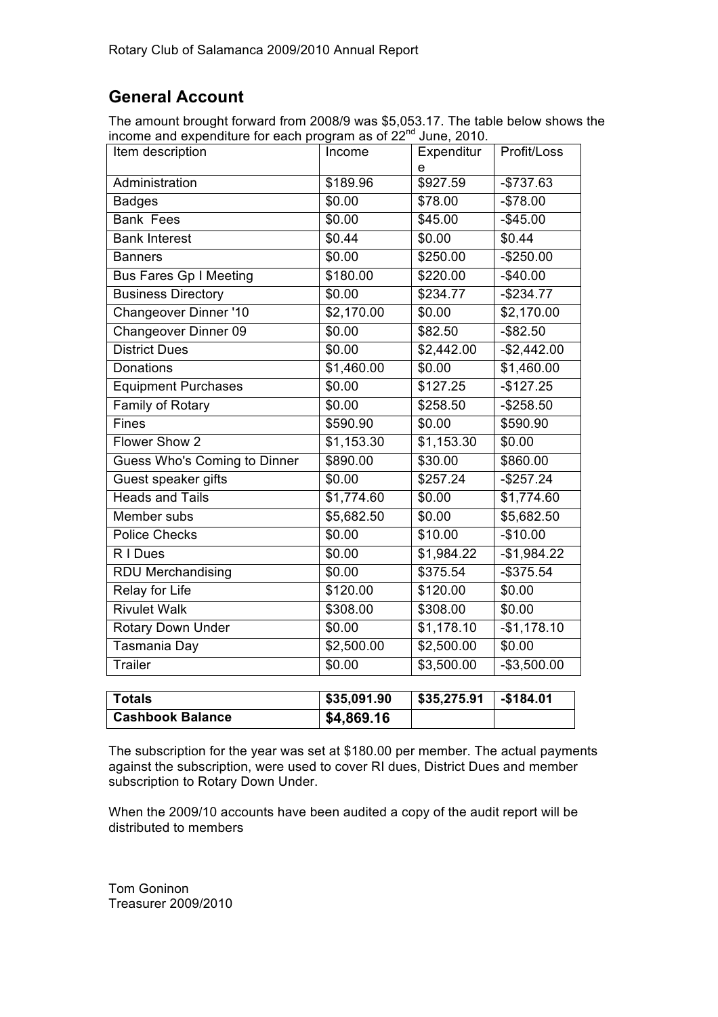## **General Account**

The amount brought forward from 2008/9 was \$5,053.17. The table below shows the income and expenditure for each program as of 22<sup>nd</sup> June, 2010.

| Item description              | Income      | Expenditur<br>e | Profit/Loss  |
|-------------------------------|-------------|-----------------|--------------|
| Administration                | \$189.96    | \$927.59        | $-$737.63$   |
| <b>Badges</b>                 | \$0.00      | \$78.00         | $-$78.00$    |
| <b>Bank Fees</b>              | \$0.00      | \$45.00         | $-$45.00$    |
| <b>Bank Interest</b>          | \$0.44      | \$0.00          | \$0.44       |
| <b>Banners</b>                | \$0.00      | \$250.00        | $-$250.00$   |
| <b>Bus Fares Gp I Meeting</b> | \$180.00    | \$220.00        | $-$40.00$    |
| <b>Business Directory</b>     | \$0.00      | \$234.77        | $-$234.77$   |
| <b>Changeover Dinner '10</b>  | \$2,170.00  | \$0.00          | \$2,170.00   |
| Changeover Dinner 09          | \$0.00      | \$82.50         | $-$ \$82.50  |
| <b>District Dues</b>          | \$0.00      | \$2,442.00      | $-$2,442.00$ |
| Donations                     | \$1,460.00  | \$0.00          | \$1,460.00   |
| Equipment Purchases           | \$0.00      | \$127.25        | $-$127.25$   |
| Family of Rotary              | \$0.00      | \$258.50        | $-$258.50$   |
| Fines                         | \$590.90    | \$0.00          | \$590.90     |
| Flower Show 2                 | \$1,153.30  | \$1,153.30      | \$0.00       |
| Guess Who's Coming to Dinner  | \$890.00    | \$30.00         | \$860.00     |
| Guest speaker gifts           | \$0.00      | \$257.24        | $-$257.24$   |
| <b>Heads and Tails</b>        | \$1,774.60  | \$0.00          | \$1,774.60   |
| Member subs                   | \$5,682.50  | \$0.00          | \$5,682.50   |
| <b>Police Checks</b>          | \$0.00      | \$10.00         | $-$10.00$    |
| R I Dues                      | \$0.00      | \$1,984.22      | $-$1,984.22$ |
| <b>RDU Merchandising</b>      | \$0.00      | \$375.54        | $-$375.54$   |
| <b>Relay for Life</b>         | \$120.00    | \$120.00        | \$0.00       |
| <b>Rivulet Walk</b>           | \$308.00    | \$308.00        | \$0.00       |
| <b>Rotary Down Under</b>      | \$0.00      | \$1,178.10      | $-$1,178.10$ |
| Tasmania Day                  | \$2,500.00  | \$2,500.00      | \$0.00       |
| <b>Trailer</b>                | \$0.00      | \$3,500.00      | $-$3,500.00$ |
|                               |             |                 |              |
| <b>Totals</b>                 | \$35,091.90 | \$35,275.91     | $-$184.01$   |

| <b>Cashbook Balance</b>                                                         | \$4,869.16 |  |
|---------------------------------------------------------------------------------|------------|--|
| The subscription for the year was set at \$180.00 per member. The actual paymen |            |  |

The subscription for the year was set at \$180.00 per member. The actual payments against the subscription, were used to cover RI dues, District Dues and member subscription to Rotary Down Under.

When the 2009/10 accounts have been audited a copy of the audit report will be distributed to members

Tom Goninon Treasurer 2009/2010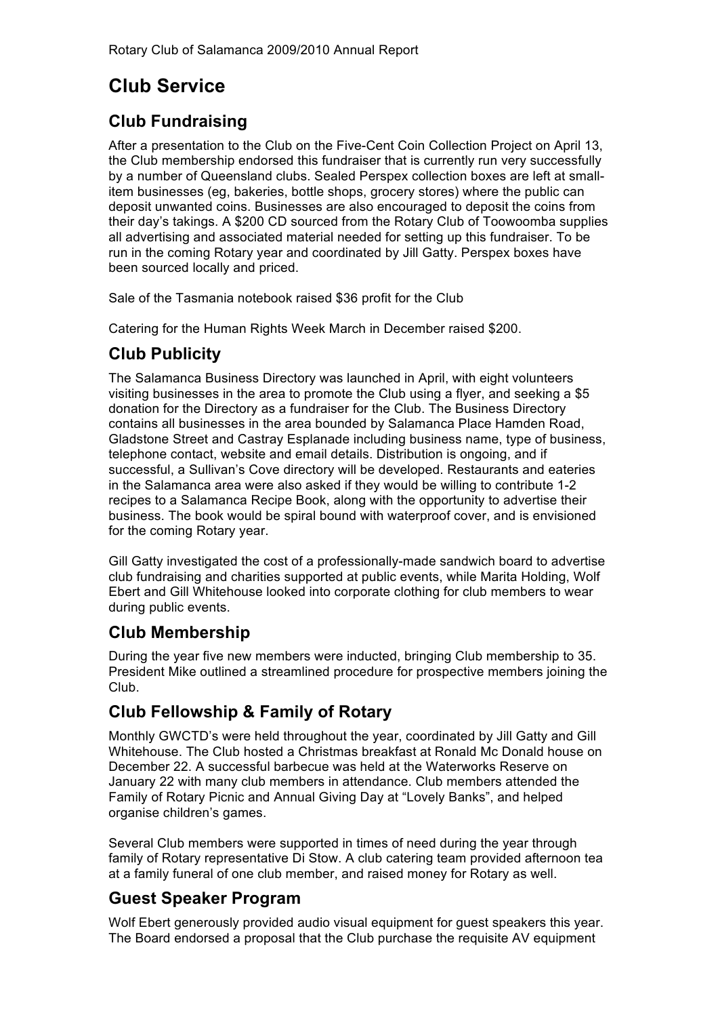# **Club Service**

## **Club Fundraising**

After a presentation to the Club on the Five-Cent Coin Collection Project on April 13, the Club membership endorsed this fundraiser that is currently run very successfully by a number of Queensland clubs. Sealed Perspex collection boxes are left at smallitem businesses (eg, bakeries, bottle shops, grocery stores) where the public can deposit unwanted coins. Businesses are also encouraged to deposit the coins from their day's takings. A \$200 CD sourced from the Rotary Club of Toowoomba supplies all advertising and associated material needed for setting up this fundraiser. To be run in the coming Rotary year and coordinated by Jill Gatty. Perspex boxes have been sourced locally and priced.

Sale of the Tasmania notebook raised \$36 profit for the Club

Catering for the Human Rights Week March in December raised \$200.

## **Club Publicity**

The Salamanca Business Directory was launched in April, with eight volunteers visiting businesses in the area to promote the Club using a flyer, and seeking a \$5 donation for the Directory as a fundraiser for the Club. The Business Directory contains all businesses in the area bounded by Salamanca Place Hamden Road, Gladstone Street and Castray Esplanade including business name, type of business, telephone contact, website and email details. Distribution is ongoing, and if successful, a Sullivan's Cove directory will be developed. Restaurants and eateries in the Salamanca area were also asked if they would be willing to contribute 1-2 recipes to a Salamanca Recipe Book, along with the opportunity to advertise their business. The book would be spiral bound with waterproof cover, and is envisioned for the coming Rotary year.

Gill Gatty investigated the cost of a professionally-made sandwich board to advertise club fundraising and charities supported at public events, while Marita Holding, Wolf Ebert and Gill Whitehouse looked into corporate clothing for club members to wear during public events.

### **Club Membership**

During the year five new members were inducted, bringing Club membership to 35. President Mike outlined a streamlined procedure for prospective members joining the Club.

## **Club Fellowship & Family of Rotary**

Monthly GWCTD's were held throughout the year, coordinated by Jill Gatty and Gill Whitehouse. The Club hosted a Christmas breakfast at Ronald Mc Donald house on December 22. A successful barbecue was held at the Waterworks Reserve on January 22 with many club members in attendance. Club members attended the Family of Rotary Picnic and Annual Giving Day at "Lovely Banks", and helped organise children's games.

Several Club members were supported in times of need during the year through family of Rotary representative Di Stow. A club catering team provided afternoon tea at a family funeral of one club member, and raised money for Rotary as well.

### **Guest Speaker Program**

Wolf Ebert generously provided audio visual equipment for guest speakers this year. The Board endorsed a proposal that the Club purchase the requisite AV equipment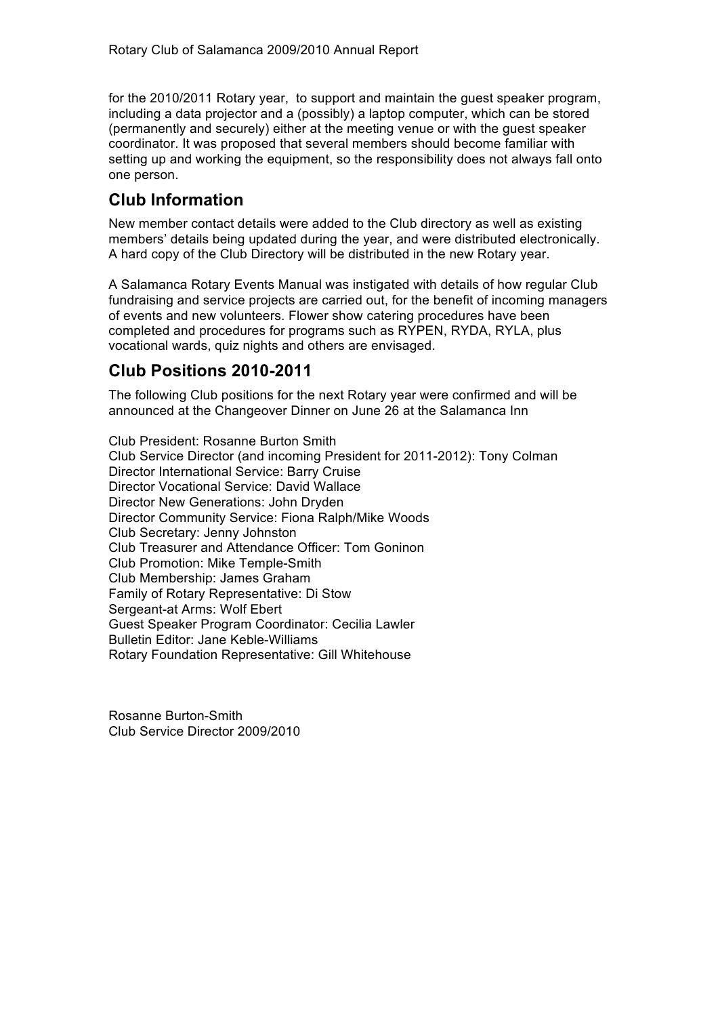for the 2010/2011 Rotary year, to support and maintain the guest speaker program, including a data projector and a (possibly) a laptop computer, which can be stored (permanently and securely) either at the meeting venue or with the guest speaker coordinator. It was proposed that several members should become familiar with setting up and working the equipment, so the responsibility does not always fall onto one person.

### **Club Information**

New member contact details were added to the Club directory as well as existing members' details being updated during the year, and were distributed electronically. A hard copy of the Club Directory will be distributed in the new Rotary year.

A Salamanca Rotary Events Manual was instigated with details of how regular Club fundraising and service projects are carried out, for the benefit of incoming managers of events and new volunteers. Flower show catering procedures have been completed and procedures for programs such as RYPEN, RYDA, RYLA, plus vocational wards, quiz nights and others are envisaged.

### **Club Positions 2010-2011**

The following Club positions for the next Rotary year were confirmed and will be announced at the Changeover Dinner on June 26 at the Salamanca Inn

Club President: Rosanne Burton Smith Club Service Director (and incoming President for 2011-2012): Tony Colman Director International Service: Barry Cruise Director Vocational Service: David Wallace Director New Generations: John Dryden Director Community Service: Fiona Ralph/Mike Woods Club Secretary: Jenny Johnston Club Treasurer and Attendance Officer: Tom Goninon Club Promotion: Mike Temple-Smith Club Membership: James Graham Family of Rotary Representative: Di Stow Sergeant-at Arms: Wolf Ebert Guest Speaker Program Coordinator: Cecilia Lawler Bulletin Editor: Jane Keble-Williams Rotary Foundation Representative: Gill Whitehouse

Rosanne Burton-Smith Club Service Director 2009/2010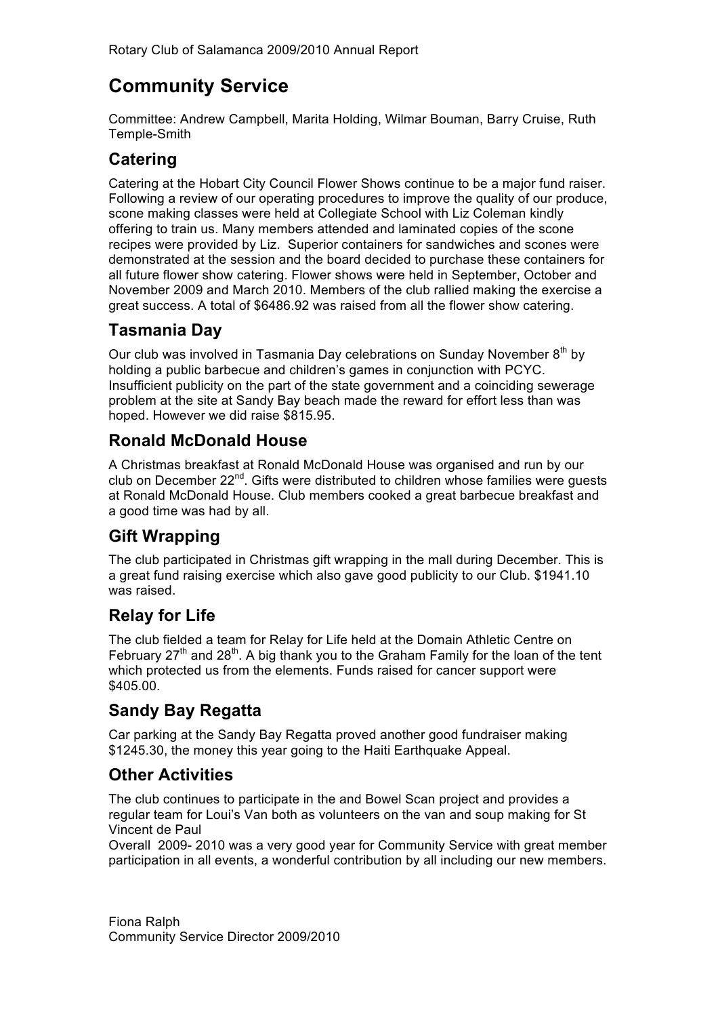# **Community Service**

Committee: Andrew Campbell, Marita Holding, Wilmar Bouman, Barry Cruise, Ruth Temple-Smith

### **Catering**

Catering at the Hobart City Council Flower Shows continue to be a major fund raiser. Following a review of our operating procedures to improve the quality of our produce, scone making classes were held at Collegiate School with Liz Coleman kindly offering to train us. Many members attended and laminated copies of the scone recipes were provided by Liz. Superior containers for sandwiches and scones were demonstrated at the session and the board decided to purchase these containers for all future flower show catering. Flower shows were held in September, October and November 2009 and March 2010. Members of the club rallied making the exercise a great success. A total of \$6486.92 was raised from all the flower show catering.

### **Tasmania Day**

Our club was involved in Tasmania Day celebrations on Sunday November 8<sup>th</sup> by holding a public barbecue and children's games in conjunction with PCYC. Insufficient publicity on the part of the state government and a coinciding sewerage problem at the site at Sandy Bay beach made the reward for effort less than was hoped. However we did raise \$815.95.

### **Ronald McDonald House**

A Christmas breakfast at Ronald McDonald House was organised and run by our club on December 22nd. Gifts were distributed to children whose families were guests at Ronald McDonald House. Club members cooked a great barbecue breakfast and a good time was had by all.

## **Gift Wrapping**

The club participated in Christmas gift wrapping in the mall during December. This is a great fund raising exercise which also gave good publicity to our Club. \$1941.10 was raised.

### **Relay for Life**

The club fielded a team for Relay for Life held at the Domain Athletic Centre on February  $27<sup>th</sup>$  and  $28<sup>th</sup>$ . A big thank you to the Graham Family for the loan of the tent which protected us from the elements. Funds raised for cancer support were \$405.00.

## **Sandy Bay Regatta**

Car parking at the Sandy Bay Regatta proved another good fundraiser making \$1245.30, the money this year going to the Haiti Earthquake Appeal.

### **Other Activities**

The club continues to participate in the and Bowel Scan project and provides a regular team for Loui's Van both as volunteers on the van and soup making for St Vincent de Paul

Overall 2009- 2010 was a very good year for Community Service with great member participation in all events, a wonderful contribution by all including our new members.

Fiona Ralph Community Service Director 2009/2010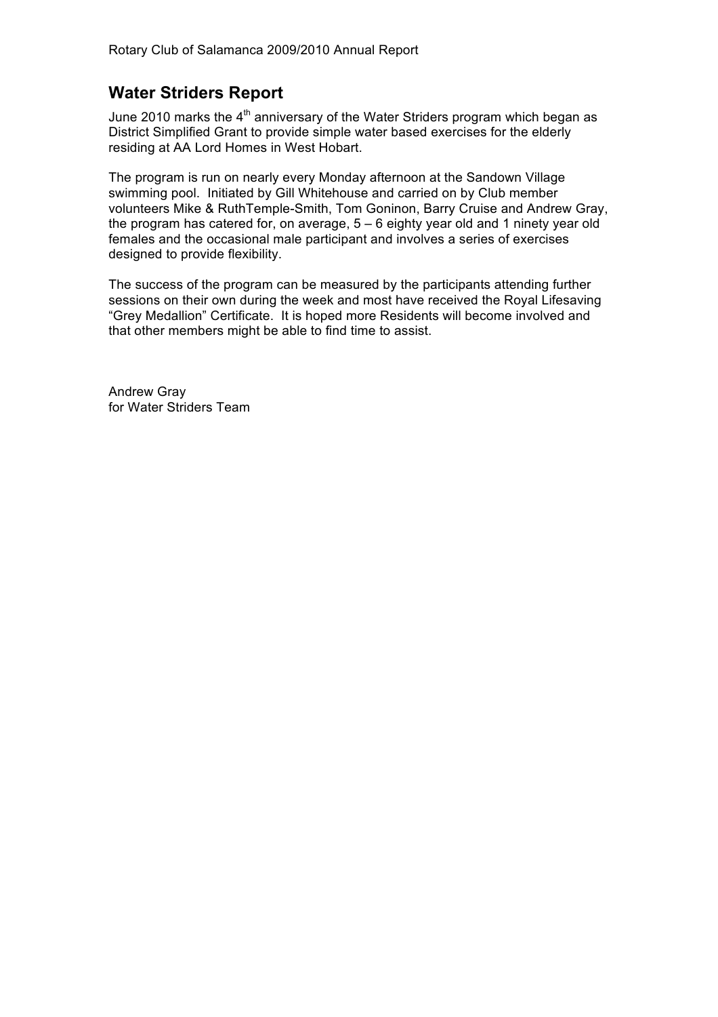### **Water Striders Report**

June 2010 marks the  $4<sup>th</sup>$  anniversary of the Water Striders program which began as District Simplified Grant to provide simple water based exercises for the elderly residing at AA Lord Homes in West Hobart.

The program is run on nearly every Monday afternoon at the Sandown Village swimming pool. Initiated by Gill Whitehouse and carried on by Club member volunteers Mike & RuthTemple-Smith, Tom Goninon, Barry Cruise and Andrew Gray, the program has catered for, on average,  $5 - 6$  eighty year old and 1 ninety year old females and the occasional male participant and involves a series of exercises designed to provide flexibility.

The success of the program can be measured by the participants attending further sessions on their own during the week and most have received the Royal Lifesaving "Grey Medallion" Certificate. It is hoped more Residents will become involved and that other members might be able to find time to assist.

Andrew Gray for Water Striders Team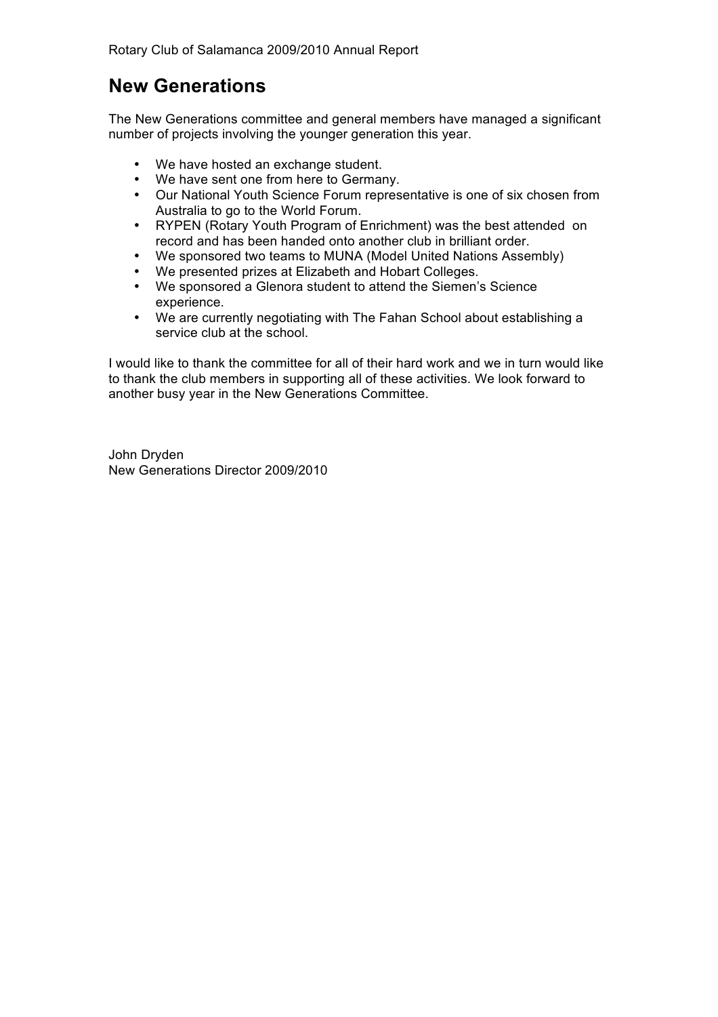Rotary Club of Salamanca 2009/2010 Annual Report

## **New Generations**

The New Generations committee and general members have managed a significant number of projects involving the younger generation this year.

- We have hosted an exchange student.
- We have sent one from here to Germany.
- Our National Youth Science Forum representative is one of six chosen from Australia to go to the World Forum.
- RYPEN (Rotary Youth Program of Enrichment) was the best attended on record and has been handed onto another club in brilliant order.
- We sponsored two teams to MUNA (Model United Nations Assembly)
- We presented prizes at Elizabeth and Hobart Colleges.
- We sponsored a Glenora student to attend the Siemen's Science experience.
- We are currently negotiating with The Fahan School about establishing a service club at the school.

I would like to thank the committee for all of their hard work and we in turn would like to thank the club members in supporting all of these activities. We look forward to another busy year in the New Generations Committee.

John Dryden New Generations Director 2009/2010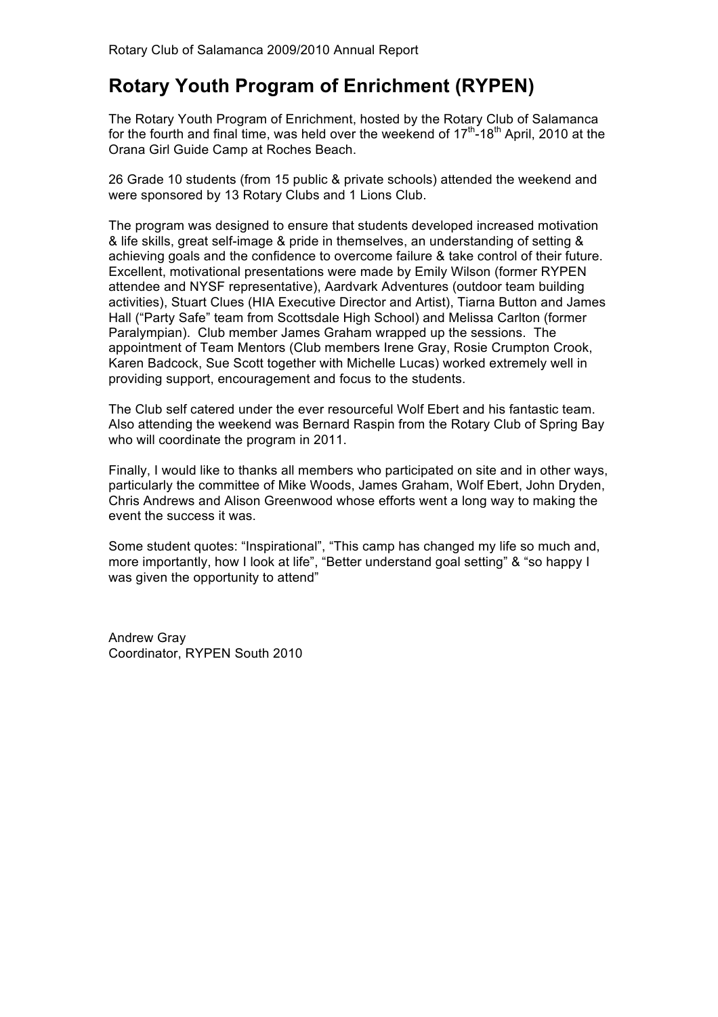# **Rotary Youth Program of Enrichment (RYPEN)**

The Rotary Youth Program of Enrichment, hosted by the Rotary Club of Salamanca for the fourth and final time, was held over the weekend of  $17<sup>th</sup>$ -18<sup>th</sup> April, 2010 at the Orana Girl Guide Camp at Roches Beach.

26 Grade 10 students (from 15 public & private schools) attended the weekend and were sponsored by 13 Rotary Clubs and 1 Lions Club.

The program was designed to ensure that students developed increased motivation & life skills, great self-image & pride in themselves, an understanding of setting & achieving goals and the confidence to overcome failure & take control of their future. Excellent, motivational presentations were made by Emily Wilson (former RYPEN attendee and NYSF representative), Aardvark Adventures (outdoor team building activities), Stuart Clues (HIA Executive Director and Artist), Tiarna Button and James Hall ("Party Safe" team from Scottsdale High School) and Melissa Carlton (former Paralympian). Club member James Graham wrapped up the sessions. The appointment of Team Mentors (Club members Irene Gray, Rosie Crumpton Crook, Karen Badcock, Sue Scott together with Michelle Lucas) worked extremely well in providing support, encouragement and focus to the students.

The Club self catered under the ever resourceful Wolf Ebert and his fantastic team. Also attending the weekend was Bernard Raspin from the Rotary Club of Spring Bay who will coordinate the program in 2011.

Finally, I would like to thanks all members who participated on site and in other ways, particularly the committee of Mike Woods, James Graham, Wolf Ebert, John Dryden, Chris Andrews and Alison Greenwood whose efforts went a long way to making the event the success it was.

Some student quotes: "Inspirational", "This camp has changed my life so much and, more importantly, how I look at life", "Better understand goal setting" & "so happy I was given the opportunity to attend"

Andrew Gray Coordinator, RYPEN South 2010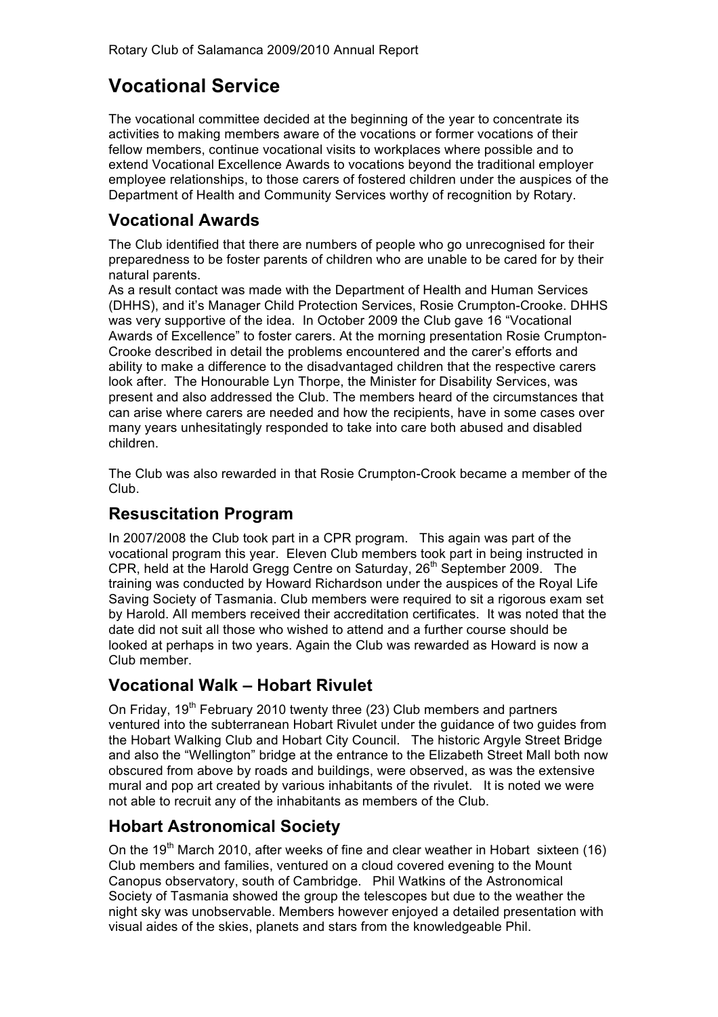# **Vocational Service**

The vocational committee decided at the beginning of the year to concentrate its activities to making members aware of the vocations or former vocations of their fellow members, continue vocational visits to workplaces where possible and to extend Vocational Excellence Awards to vocations beyond the traditional employer employee relationships, to those carers of fostered children under the auspices of the Department of Health and Community Services worthy of recognition by Rotary.

### **Vocational Awards**

The Club identified that there are numbers of people who go unrecognised for their preparedness to be foster parents of children who are unable to be cared for by their natural parents.

As a result contact was made with the Department of Health and Human Services (DHHS), and it's Manager Child Protection Services, Rosie Crumpton-Crooke. DHHS was very supportive of the idea. In October 2009 the Club gave 16 "Vocational Awards of Excellence" to foster carers. At the morning presentation Rosie Crumpton-Crooke described in detail the problems encountered and the carer's efforts and ability to make a difference to the disadvantaged children that the respective carers look after. The Honourable Lyn Thorpe, the Minister for Disability Services, was present and also addressed the Club. The members heard of the circumstances that can arise where carers are needed and how the recipients, have in some cases over many years unhesitatingly responded to take into care both abused and disabled children.

The Club was also rewarded in that Rosie Crumpton-Crook became a member of the Club.

### **Resuscitation Program**

In 2007/2008 the Club took part in a CPR program. This again was part of the vocational program this year. Eleven Club members took part in being instructed in CPR, held at the Harold Gregg Centre on Saturday, 26<sup>th</sup> September 2009. The training was conducted by Howard Richardson under the auspices of the Royal Life Saving Society of Tasmania. Club members were required to sit a rigorous exam set by Harold. All members received their accreditation certificates. It was noted that the date did not suit all those who wished to attend and a further course should be looked at perhaps in two years. Again the Club was rewarded as Howard is now a Club member.

### **Vocational Walk – Hobart Rivulet**

On Friday, 19<sup>th</sup> February 2010 twenty three (23) Club members and partners ventured into the subterranean Hobart Rivulet under the guidance of two guides from the Hobart Walking Club and Hobart City Council. The historic Argyle Street Bridge and also the "Wellington" bridge at the entrance to the Elizabeth Street Mall both now obscured from above by roads and buildings, were observed, as was the extensive mural and pop art created by various inhabitants of the rivulet. It is noted we were not able to recruit any of the inhabitants as members of the Club.

### **Hobart Astronomical Society**

On the 19<sup>th</sup> March 2010, after weeks of fine and clear weather in Hobart sixteen (16) Club members and families, ventured on a cloud covered evening to the Mount Canopus observatory, south of Cambridge. Phil Watkins of the Astronomical Society of Tasmania showed the group the telescopes but due to the weather the night sky was unobservable. Members however enjoyed a detailed presentation with visual aides of the skies, planets and stars from the knowledgeable Phil.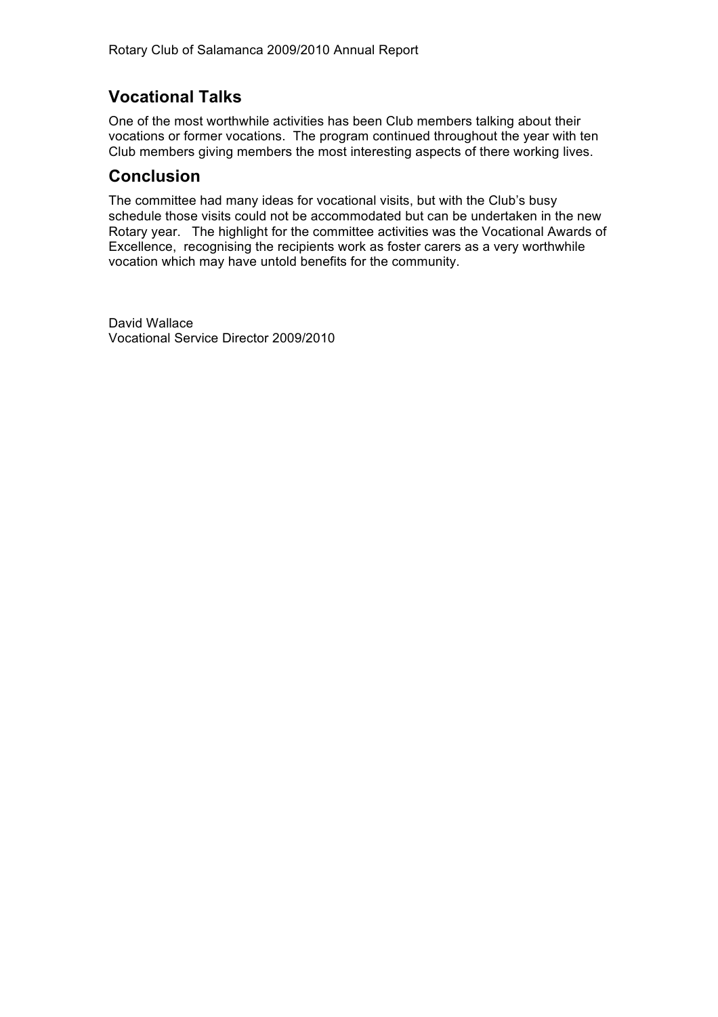### **Vocational Talks**

One of the most worthwhile activities has been Club members talking about their vocations or former vocations. The program continued throughout the year with ten Club members giving members the most interesting aspects of there working lives.

#### **Conclusion**

The committee had many ideas for vocational visits, but with the Club's busy schedule those visits could not be accommodated but can be undertaken in the new Rotary year. The highlight for the committee activities was the Vocational Awards of Excellence, recognising the recipients work as foster carers as a very worthwhile vocation which may have untold benefits for the community.

David Wallace Vocational Service Director 2009/2010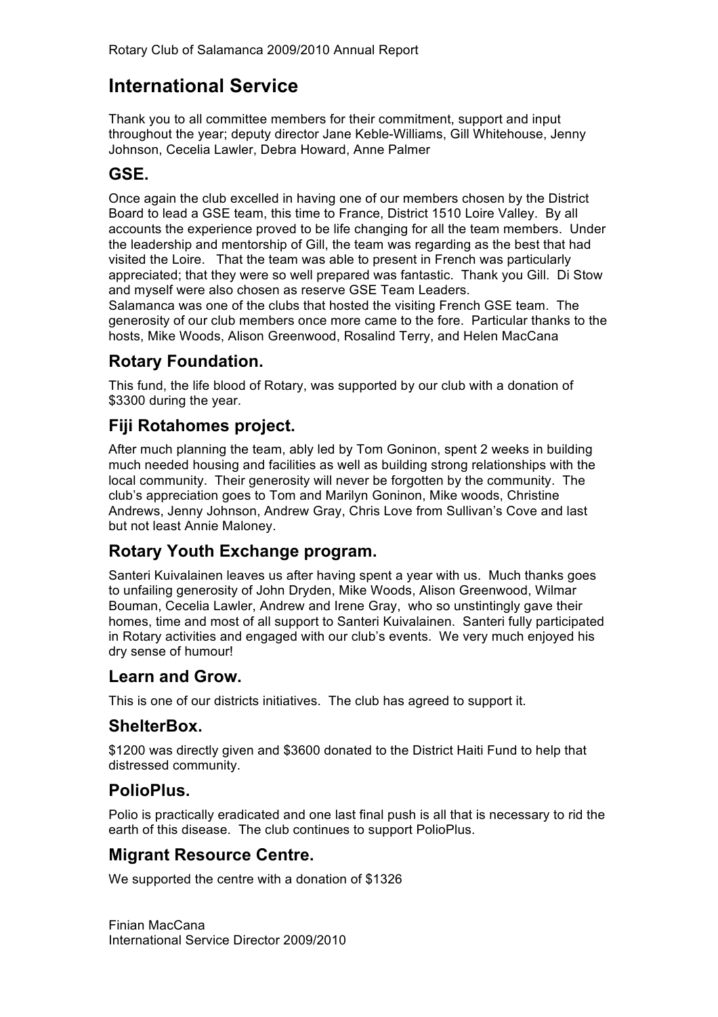# **International Service**

Thank you to all committee members for their commitment, support and input throughout the year; deputy director Jane Keble-Williams, Gill Whitehouse, Jenny Johnson, Cecelia Lawler, Debra Howard, Anne Palmer

### **GSE.**

Once again the club excelled in having one of our members chosen by the District Board to lead a GSE team, this time to France, District 1510 Loire Valley. By all accounts the experience proved to be life changing for all the team members. Under the leadership and mentorship of Gill, the team was regarding as the best that had visited the Loire. That the team was able to present in French was particularly appreciated; that they were so well prepared was fantastic. Thank you Gill. Di Stow and myself were also chosen as reserve GSE Team Leaders.

Salamanca was one of the clubs that hosted the visiting French GSE team. The generosity of our club members once more came to the fore. Particular thanks to the hosts, Mike Woods, Alison Greenwood, Rosalind Terry, and Helen MacCana

### **Rotary Foundation.**

This fund, the life blood of Rotary, was supported by our club with a donation of \$3300 during the year.

### **Fiji Rotahomes project.**

After much planning the team, ably led by Tom Goninon, spent 2 weeks in building much needed housing and facilities as well as building strong relationships with the local community. Their generosity will never be forgotten by the community. The club's appreciation goes to Tom and Marilyn Goninon, Mike woods, Christine Andrews, Jenny Johnson, Andrew Gray, Chris Love from Sullivan's Cove and last but not least Annie Maloney.

### **Rotary Youth Exchange program.**

Santeri Kuivalainen leaves us after having spent a year with us. Much thanks goes to unfailing generosity of John Dryden, Mike Woods, Alison Greenwood, Wilmar Bouman, Cecelia Lawler, Andrew and Irene Gray, who so unstintingly gave their homes, time and most of all support to Santeri Kuivalainen. Santeri fully participated in Rotary activities and engaged with our club's events. We very much enjoyed his dry sense of humour!

#### **Learn and Grow.**

This is one of our districts initiatives. The club has agreed to support it.

### **ShelterBox.**

\$1200 was directly given and \$3600 donated to the District Haiti Fund to help that distressed community.

### **PolioPlus.**

Polio is practically eradicated and one last final push is all that is necessary to rid the earth of this disease. The club continues to support PolioPlus.

### **Migrant Resource Centre.**

We supported the centre with a donation of \$1326

Finian MacCana International Service Director 2009/2010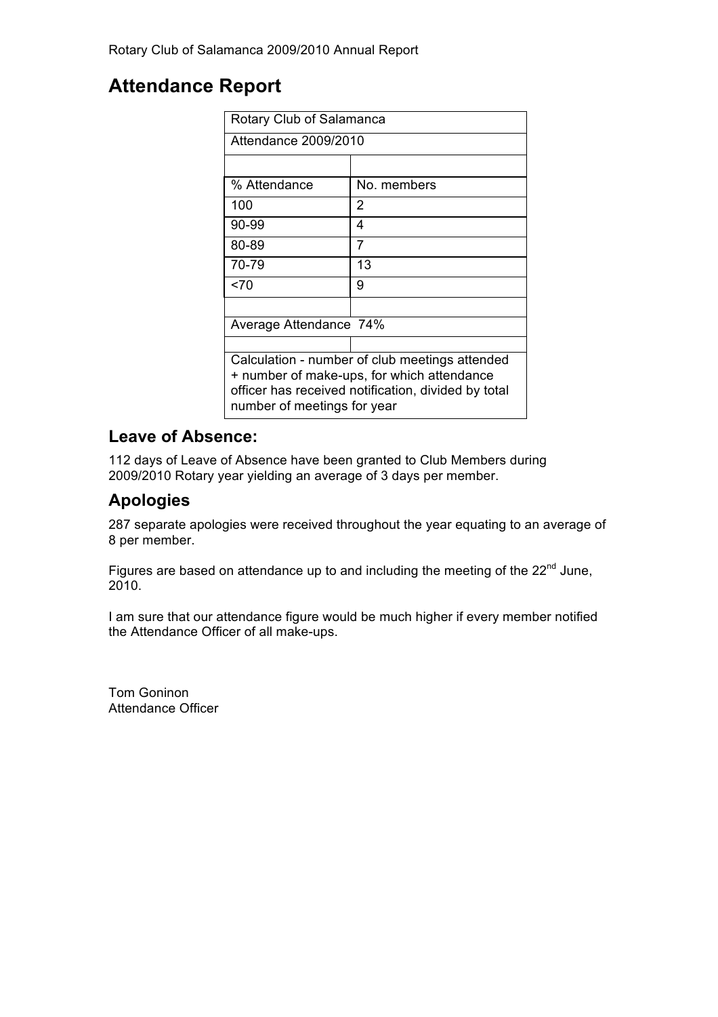## **Attendance Report**

| Rotary Club of Salamanca                                                           |             |  |
|------------------------------------------------------------------------------------|-------------|--|
| Attendance 2009/2010                                                               |             |  |
|                                                                                    |             |  |
| % Attendance                                                                       | No. members |  |
| 100                                                                                | 2           |  |
| 90-99                                                                              | 4           |  |
| 80-89                                                                              | 7           |  |
| 70-79                                                                              | 13          |  |
| 270                                                                                | 9           |  |
|                                                                                    |             |  |
| Average Attendance 74%                                                             |             |  |
|                                                                                    |             |  |
| Calculation - number of club meetings attended                                     |             |  |
| + number of make-ups, for which attendance                                         |             |  |
| officer has received notification, divided by total<br>number of meetings for year |             |  |
|                                                                                    |             |  |

### **Leave of Absence:**

112 days of Leave of Absence have been granted to Club Members during 2009/2010 Rotary year yielding an average of 3 days per member.

### **Apologies**

287 separate apologies were received throughout the year equating to an average of 8 per member.

Figures are based on attendance up to and including the meeting of the  $22<sup>nd</sup>$  June, 2010.

I am sure that our attendance figure would be much higher if every member notified the Attendance Officer of all make-ups.

Tom Goninon Attendance Officer